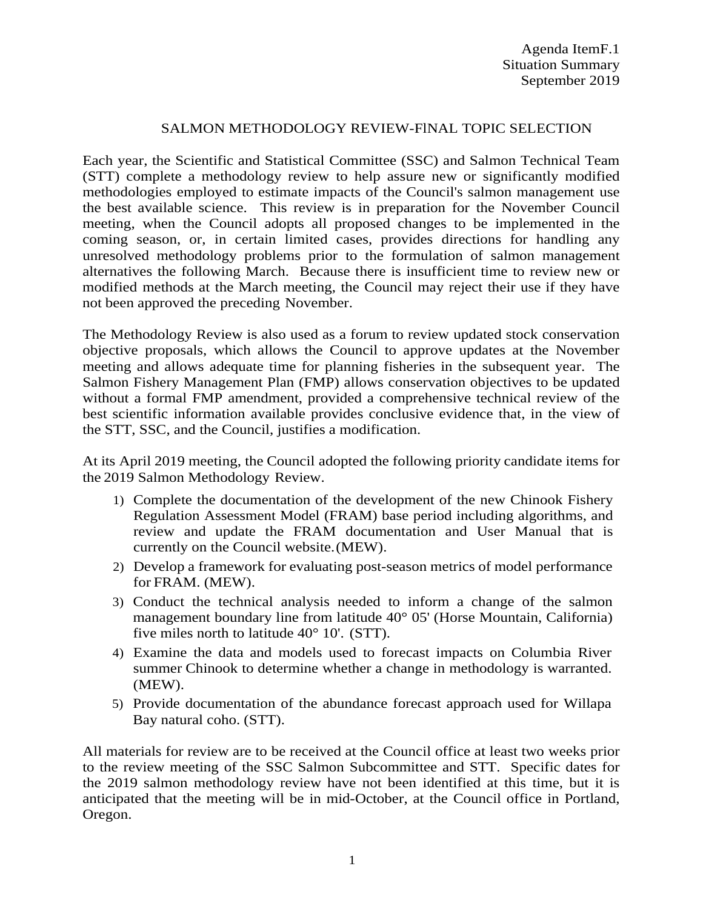## SALMON METHODOLOGY REVIEW-FlNAL TOPIC SELECTION

Each year, the Scientific and Statistical Committee (SSC) and Salmon Technical Team (STT) complete a methodology review to help assure new or significantly modified methodologies employed to estimate impacts of the Council's salmon management use the best available science. This review is in preparation for the November Council meeting, when the Council adopts all proposed changes to be implemented in the coming season, or, in certain limited cases, provides directions for handling any unresolved methodology problems prior to the formulation of salmon management alternatives the following March. Because there is insufficient time to review new or modified methods at the March meeting, the Council may reject their use if they have not been approved the preceding November.

The Methodology Review is also used as a forum to review updated stock conservation objective proposals, which allows the Council to approve updates at the November meeting and allows adequate time for planning fisheries in the subsequent year. The Salmon Fishery Management Plan (FMP) allows conservation objectives to be updated without a formal FMP amendment, provided a comprehensive technical review of the best scientific information available provides conclusive evidence that, in the view of the STT, SSC, and the Council, justifies a modification.

At its April 2019 meeting, the Council adopted the following priority candidate items for the 2019 Salmon Methodology Review.

- 1) Complete the documentation of the development of the new Chinook Fishery Regulation Assessment Model (FRAM) base period including algorithms, and review and update the FRAM documentation and User Manual that is currently on the Council website.(MEW).
- 2) Develop a framework for evaluating post-season metrics of model performance for FRAM. (MEW).
- 3) Conduct the technical analysis needed to inform a change of the salmon management boundary line from latitude 40° 05' (Horse Mountain, California) five miles north to latitude 40° 10'. (STT).
- 4) Examine the data and models used to forecast impacts on Columbia River summer Chinook to determine whether a change in methodology is warranted. (MEW).
- 5) Provide documentation of the abundance forecast approach used for Willapa Bay natural coho. (STT).

All materials for review are to be received at the Council office at least two weeks prior to the review meeting of the SSC Salmon Subcommittee and STT. Specific dates for the 2019 salmon methodology review have not been identified at this time, but it is anticipated that the meeting will be in mid-October, at the Council office in Portland, Oregon.